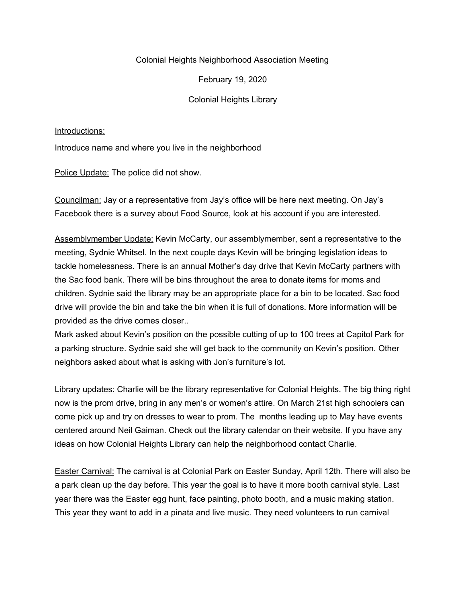## Colonial Heights Neighborhood Association Meeting

February 19, 2020

Colonial Heights Library

Introductions:

Introduce name and where you live in the neighborhood

Police Update: The police did not show.

Councilman: Jay or a representative from Jay's office will be here next meeting. On Jay's Facebook there is a survey about Food Source, look at his account if you are interested.

Assemblymember Update: Kevin McCarty, our assemblymember, sent a representative to the meeting, Sydnie Whitsel. In the next couple days Kevin will be bringing legislation ideas to tackle homelessness. There is an annual Mother's day drive that Kevin McCarty partners with the Sac food bank. There will be bins throughout the area to donate items for moms and children. Sydnie said the library may be an appropriate place for a bin to be located. Sac food drive will provide the bin and take the bin when it is full of donations. More information will be provided as the drive comes closer..

Mark asked about Kevin's position on the possible cutting of up to 100 trees at Capitol Park for a parking structure. Sydnie said she will get back to the community on Kevin's position. Other neighbors asked about what is asking with Jon's furniture's lot.

Library updates: Charlie will be the library representative for Colonial Heights. The big thing right now is the prom drive, bring in any men's or women's attire. On March 21st high schoolers can come pick up and try on dresses to wear to prom. The months leading up to May have events centered around Neil Gaiman. Check out the library calendar on their website. If you have any ideas on how Colonial Heights Library can help the neighborhood contact Charlie.

Easter Carnival: The carnival is at Colonial Park on Easter Sunday, April 12th. There will also be a park clean up the day before. This year the goal is to have it more booth carnival style. Last year there was the Easter egg hunt, face painting, photo booth, and a music making station. This year they want to add in a pinata and live music. They need volunteers to run carnival